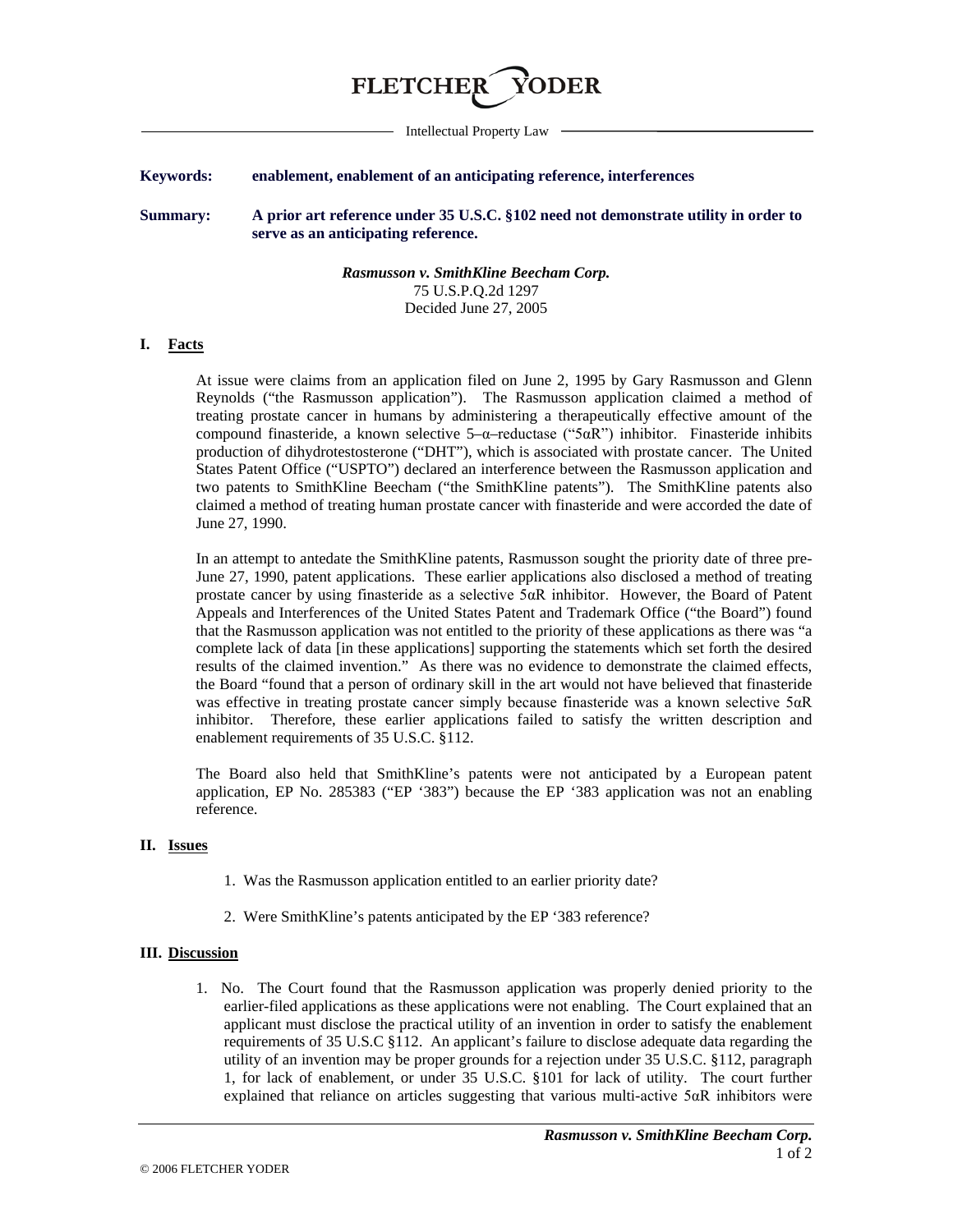# **FLETCHER**

Intellectual Property Law

### **Keywords: enablement, enablement of an anticipating reference, interferences**

**Summary: A prior art reference under 35 U.S.C. §102 need not demonstrate utility in order to serve as an anticipating reference.**

> *Rasmusson v. SmithKline Beecham Corp.* 75 U.S.P.Q.2d 1297 Decided June 27, 2005

#### **I. Facts**

At issue were claims from an application filed on June 2, 1995 by Gary Rasmusson and Glenn Reynolds ("the Rasmusson application"). The Rasmusson application claimed a method of treating prostate cancer in humans by administering a therapeutically effective amount of the compound finasteride, a known selective  $5-\alpha$ –reductase ("5 $\alpha$ R") inhibitor. Finasteride inhibits production of dihydrotestosterone ("DHT"), which is associated with prostate cancer. The United States Patent Office ("USPTO") declared an interference between the Rasmusson application and two patents to SmithKline Beecham ("the SmithKline patents"). The SmithKline patents also claimed a method of treating human prostate cancer with finasteride and were accorded the date of June 27, 1990.

In an attempt to antedate the SmithKline patents, Rasmusson sought the priority date of three pre-June 27, 1990, patent applications. These earlier applications also disclosed a method of treating prostate cancer by using finasteride as a selective 5αR inhibitor. However, the Board of Patent Appeals and Interferences of the United States Patent and Trademark Office ("the Board") found that the Rasmusson application was not entitled to the priority of these applications as there was "a complete lack of data [in these applications] supporting the statements which set forth the desired results of the claimed invention." As there was no evidence to demonstrate the claimed effects, the Board "found that a person of ordinary skill in the art would not have believed that finasteride was effective in treating prostate cancer simply because finasteride was a known selective 5αR inhibitor. Therefore, these earlier applications failed to satisfy the written description and enablement requirements of 35 U.S.C. §112.

The Board also held that SmithKline's patents were not anticipated by a European patent application, EP No. 285383 ("EP '383") because the EP '383 application was not an enabling reference.

#### **II. Issues**

- 1. Was the Rasmusson application entitled to an earlier priority date?
- 2. Were SmithKline's patents anticipated by the EP '383 reference?

#### **III. Discussion**

1. No. The Court found that the Rasmusson application was properly denied priority to the earlier-filed applications as these applications were not enabling. The Court explained that an applicant must disclose the practical utility of an invention in order to satisfy the enablement requirements of 35 U.S.C §112. An applicant's failure to disclose adequate data regarding the utility of an invention may be proper grounds for a rejection under 35 U.S.C. §112, paragraph 1, for lack of enablement, or under 35 U.S.C. §101 for lack of utility. The court further explained that reliance on articles suggesting that various multi-active 5αR inhibitors were